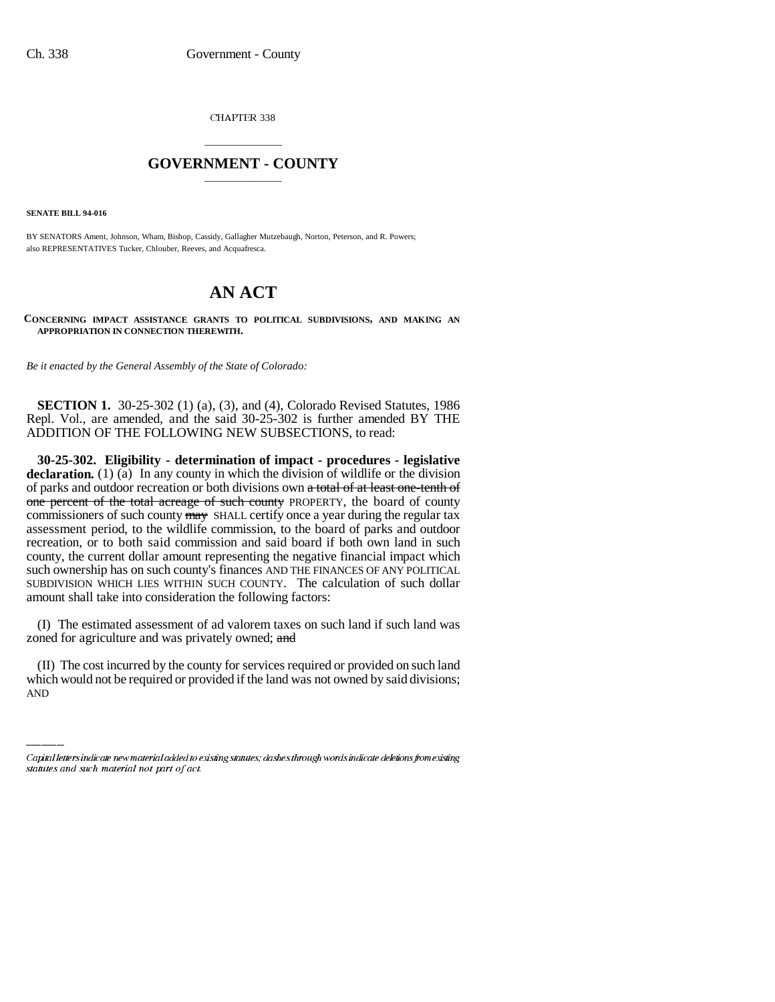CHAPTER 338

## \_\_\_\_\_\_\_\_\_\_\_\_\_\_\_ **GOVERNMENT - COUNTY** \_\_\_\_\_\_\_\_\_\_\_\_\_\_\_

**SENATE BILL 94-016**

BY SENATORS Ament, Johnson, Wham, Bishop, Cassidy, Gallagher Mutzebaugh, Norton, Peterson, and R. Powers; also REPRESENTATIVES Tucker, Chlouber, Reeves, and Acquafresca.

## **AN ACT**

**CONCERNING IMPACT ASSISTANCE GRANTS TO POLITICAL SUBDIVISIONS, AND MAKING AN APPROPRIATION IN CONNECTION THEREWITH.**

*Be it enacted by the General Assembly of the State of Colorado:*

**SECTION 1.** 30-25-302 (1) (a), (3), and (4), Colorado Revised Statutes, 1986 Repl. Vol., are amended, and the said 30-25-302 is further amended BY THE ADDITION OF THE FOLLOWING NEW SUBSECTIONS, to read:

**30-25-302. Eligibility - determination of impact - procedures - legislative** declaration. (1) (a) In any county in which the division of wildlife or the division of parks and outdoor recreation or both divisions own a total of at least one-tenth of one percent of the total acreage of such county PROPERTY, the board of county commissioners of such county may SHALL certify once a year during the regular tax assessment period, to the wildlife commission, to the board of parks and outdoor recreation, or to both said commission and said board if both own land in such county, the current dollar amount representing the negative financial impact which such ownership has on such county's finances AND THE FINANCES OF ANY POLITICAL SUBDIVISION WHICH LIES WITHIN SUCH COUNTY. The calculation of such dollar amount shall take into consideration the following factors:

(I) The estimated assessment of ad valorem taxes on such land if such land was zoned for agriculture and was privately owned; and

(II) The cost incurred by the county for services required or provided on such land which would not be required or provided if the land was not owned by said divisions; AND

Capital letters indicate new material added to existing statutes; dashes through words indicate deletions from existing statutes and such material not part of act.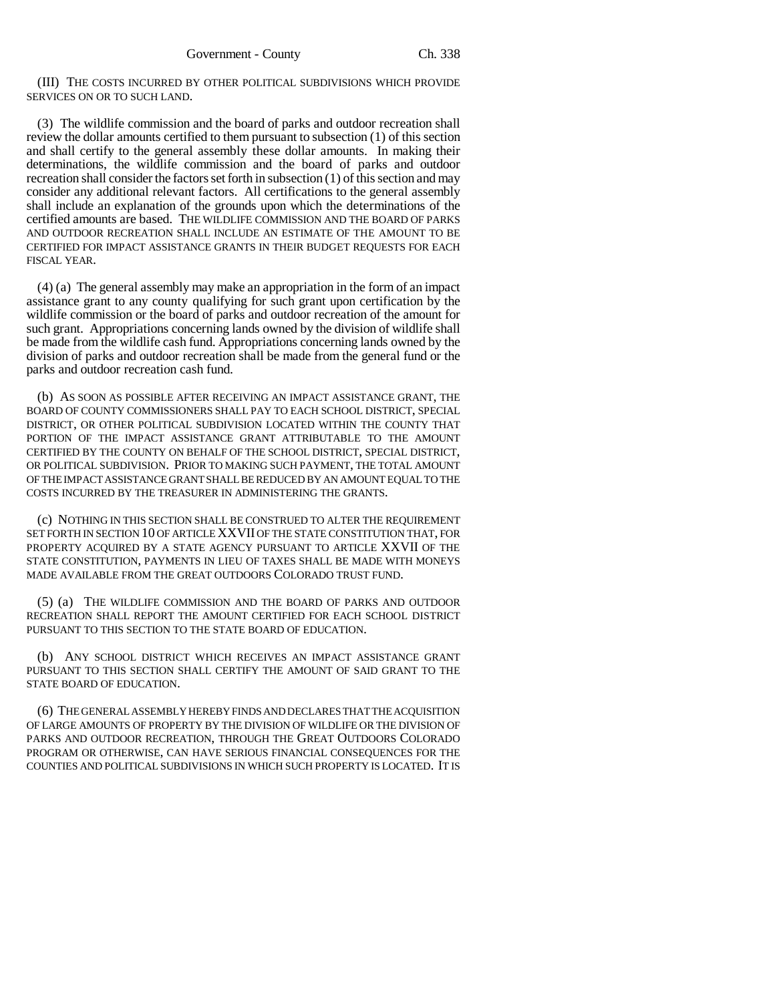(III) THE COSTS INCURRED BY OTHER POLITICAL SUBDIVISIONS WHICH PROVIDE SERVICES ON OR TO SUCH LAND.

(3) The wildlife commission and the board of parks and outdoor recreation shall review the dollar amounts certified to them pursuant to subsection (1) of this section and shall certify to the general assembly these dollar amounts. In making their determinations, the wildlife commission and the board of parks and outdoor recreation shall consider the factors set forth in subsection (1) of this section and may consider any additional relevant factors. All certifications to the general assembly shall include an explanation of the grounds upon which the determinations of the certified amounts are based. THE WILDLIFE COMMISSION AND THE BOARD OF PARKS AND OUTDOOR RECREATION SHALL INCLUDE AN ESTIMATE OF THE AMOUNT TO BE CERTIFIED FOR IMPACT ASSISTANCE GRANTS IN THEIR BUDGET REQUESTS FOR EACH FISCAL YEAR.

(4) (a) The general assembly may make an appropriation in the form of an impact assistance grant to any county qualifying for such grant upon certification by the wildlife commission or the board of parks and outdoor recreation of the amount for such grant. Appropriations concerning lands owned by the division of wildlife shall be made from the wildlife cash fund. Appropriations concerning lands owned by the division of parks and outdoor recreation shall be made from the general fund or the parks and outdoor recreation cash fund.

(b) AS SOON AS POSSIBLE AFTER RECEIVING AN IMPACT ASSISTANCE GRANT, THE BOARD OF COUNTY COMMISSIONERS SHALL PAY TO EACH SCHOOL DISTRICT, SPECIAL DISTRICT, OR OTHER POLITICAL SUBDIVISION LOCATED WITHIN THE COUNTY THAT PORTION OF THE IMPACT ASSISTANCE GRANT ATTRIBUTABLE TO THE AMOUNT CERTIFIED BY THE COUNTY ON BEHALF OF THE SCHOOL DISTRICT, SPECIAL DISTRICT, OR POLITICAL SUBDIVISION. PRIOR TO MAKING SUCH PAYMENT, THE TOTAL AMOUNT OF THE IMPACT ASSISTANCE GRANT SHALL BE REDUCED BY AN AMOUNT EQUAL TO THE COSTS INCURRED BY THE TREASURER IN ADMINISTERING THE GRANTS.

(c) NOTHING IN THIS SECTION SHALL BE CONSTRUED TO ALTER THE REQUIREMENT SET FORTH IN SECTION 10 OF ARTICLE XXVII OF THE STATE CONSTITUTION THAT, FOR PROPERTY ACQUIRED BY A STATE AGENCY PURSUANT TO ARTICLE XXVII OF THE STATE CONSTITUTION, PAYMENTS IN LIEU OF TAXES SHALL BE MADE WITH MONEYS MADE AVAILABLE FROM THE GREAT OUTDOORS COLORADO TRUST FUND.

(5) (a) THE WILDLIFE COMMISSION AND THE BOARD OF PARKS AND OUTDOOR RECREATION SHALL REPORT THE AMOUNT CERTIFIED FOR EACH SCHOOL DISTRICT PURSUANT TO THIS SECTION TO THE STATE BOARD OF EDUCATION.

(b) ANY SCHOOL DISTRICT WHICH RECEIVES AN IMPACT ASSISTANCE GRANT PURSUANT TO THIS SECTION SHALL CERTIFY THE AMOUNT OF SAID GRANT TO THE STATE BOARD OF EDUCATION.

(6) THE GENERAL ASSEMBLY HEREBY FINDS AND DECLARES THAT THE ACQUISITION OF LARGE AMOUNTS OF PROPERTY BY THE DIVISION OF WILDLIFE OR THE DIVISION OF PARKS AND OUTDOOR RECREATION, THROUGH THE GREAT OUTDOORS COLORADO PROGRAM OR OTHERWISE, CAN HAVE SERIOUS FINANCIAL CONSEQUENCES FOR THE COUNTIES AND POLITICAL SUBDIVISIONS IN WHICH SUCH PROPERTY IS LOCATED. IT IS